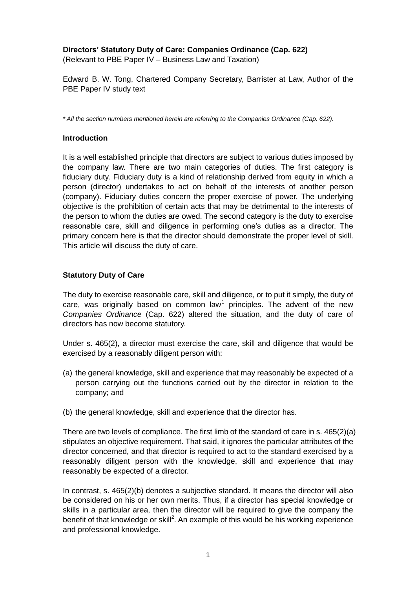## **Directors' Statutory Duty of Care: Companies Ordinance (Cap. 622)**

(Relevant to PBE Paper IV – Business Law and Taxation)

Edward B. W. Tong, Chartered Company Secretary, Barrister at Law, Author of the PBE Paper IV study text

*\* All the section numbers mentioned herein are referring to the Companies Ordinance (Cap. 622).* 

#### **Introduction**

It is a well established principle that directors are subject to various duties imposed by the company law. There are two main categories of duties. The first category is fiduciary duty. Fiduciary duty is a kind of relationship derived from equity in which a person (director) undertakes to act on behalf of the interests of another person (company). Fiduciary duties concern the proper exercise of power. The underlying objective is the prohibition of certain acts that may be detrimental to the interests of the person to whom the duties are owed. The second category is the duty to exercise reasonable care, skill and diligence in performing one's duties as a director. The primary concern here is that the director should demonstrate the proper level of skill. This article will discuss the duty of care.

#### **Statutory Duty of Care**

The duty to exercise reasonable care, skill and diligence, or to put it simply, the duty of care, was originally based on common law<sup>1</sup> principles. The advent of the new *Companies Ordinance* (Cap. 622) altered the situation, and the duty of care of directors has now become statutory.

Under s. 465(2), a director must exercise the care, skill and diligence that would be exercised by a reasonably diligent person with:

- (a) the general knowledge, skill and experience that may reasonably be expected of a person carrying out the functions carried out by the director in relation to the company; and
- (b) the general knowledge, skill and experience that the director has.

There are two levels of compliance. The first limb of the standard of care in s. 465(2)(a) stipulates an objective requirement. That said, it ignores the particular attributes of the director concerned, and that director is required to act to the standard exercised by a reasonably diligent person with the knowledge, skill and experience that may reasonably be expected of a director.

In contrast, s. 465(2)(b) denotes a subjective standard. It means the director will also be considered on his or her own merits. Thus, if a director has special knowledge or skills in a particular area, then the director will be required to give the company the benefit of that knowledge or skill<sup>2</sup>. An example of this would be his working experience and professional knowledge.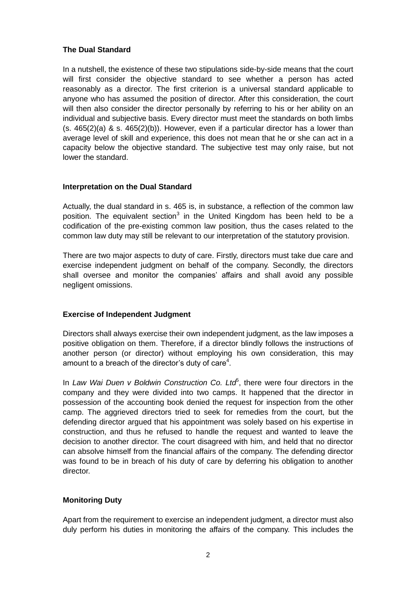## **The Dual Standard**

In a nutshell, the existence of these two stipulations side-by-side means that the court will first consider the objective standard to see whether a person has acted reasonably as a director. The first criterion is a universal standard applicable to anyone who has assumed the position of director. After this consideration, the court will then also consider the director personally by referring to his or her ability on an individual and subjective basis. Every director must meet the standards on both limbs  $(s. 465(2)(a)$  & s.  $465(2)(b)$ ). However, even if a particular director has a lower than average level of skill and experience, this does not mean that he or she can act in a capacity below the objective standard. The subjective test may only raise, but not lower the standard.

## **Interpretation on the Dual Standard**

Actually, the dual standard in s. 465 is, in substance, a reflection of the common law position. The equivalent section<sup>3</sup> in the United Kingdom has been held to be a codification of the pre-existing common law position, thus the cases related to the common law duty may still be relevant to our interpretation of the statutory provision.

There are two major aspects to duty of care. Firstly, directors must take due care and exercise independent judgment on behalf of the company. Secondly, the directors shall oversee and monitor the companies' affairs and shall avoid any possible negligent omissions.

#### **Exercise of Independent Judgment**

Directors shall always exercise their own independent judgment, as the law imposes a positive obligation on them. Therefore, if a director blindly follows the instructions of another person (or director) without employing his own consideration, this may amount to a breach of the director's duty of care<sup>4</sup>.

In Law Wai Duen v Boldwin Construction Co. Ltd<sup>5</sup>, there were four directors in the company and they were divided into two camps. It happened that the director in possession of the accounting book denied the request for inspection from the other camp. The aggrieved directors tried to seek for remedies from the court, but the defending director argued that his appointment was solely based on his expertise in construction, and thus he refused to handle the request and wanted to leave the decision to another director. The court disagreed with him, and held that no director can absolve himself from the financial affairs of the company. The defending director was found to be in breach of his duty of care by deferring his obligation to another director.

## **Monitoring Duty**

Apart from the requirement to exercise an independent judgment, a director must also duly perform his duties in monitoring the affairs of the company. This includes the